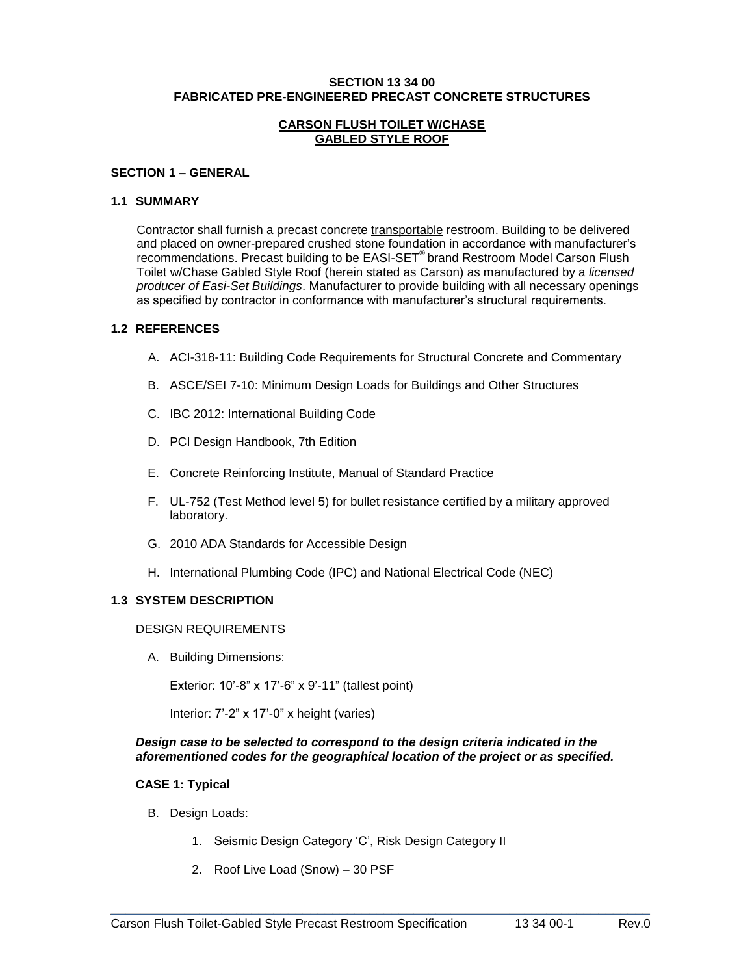#### **SECTION 13 34 00 FABRICATED PRE-ENGINEERED PRECAST CONCRETE STRUCTURES**

### **CARSON FLUSH TOILET W/CHASE GABLED STYLE ROOF**

### **SECTION 1 – GENERAL**

#### **1.1 SUMMARY**

Contractor shall furnish a precast concrete transportable restroom. Building to be delivered and placed on owner-prepared crushed stone foundation in accordance with manufacturer's recommendations. Precast building to be EASI-SET® brand Restroom Model Carson Flush Toilet w/Chase Gabled Style Roof (herein stated as Carson) as manufactured by a *licensed producer of Easi-Set Buildings*. Manufacturer to provide building with all necessary openings as specified by contractor in conformance with manufacturer's structural requirements.

### **1.2 REFERENCES**

- A. ACI-318-11: Building Code Requirements for Structural Concrete and Commentary
- B. ASCE/SEI 7-10: Minimum Design Loads for Buildings and Other Structures
- C. IBC 2012: International Building Code
- D. PCI Design Handbook, 7th Edition
- E. Concrete Reinforcing Institute, Manual of Standard Practice
- F. UL-752 (Test Method level 5) for bullet resistance certified by a military approved laboratory.
- G. 2010 ADA Standards for Accessible Design
- H. International Plumbing Code (IPC) and National Electrical Code (NEC)

#### **1.3 SYSTEM DESCRIPTION**

### DESIGN REQUIREMENTS

A. Building Dimensions:

Exterior: 10'-8" x 17'-6" x 9'-11" (tallest point)

Interior: 7'-2" x 17'-0" x height (varies)

### *Design case to be selected to correspond to the design criteria indicated in the aforementioned codes for the geographical location of the project or as specified.*

\_\_\_\_\_\_\_\_\_\_\_\_\_\_\_\_\_\_\_\_\_\_\_\_\_\_\_\_\_\_\_\_\_\_\_\_\_\_\_\_\_\_\_\_\_\_\_\_\_\_\_\_\_\_\_\_\_\_\_\_\_\_\_\_\_\_\_\_\_\_\_\_\_

# **CASE 1: Typical**

- B. Design Loads:
	- 1. Seismic Design Category 'C', Risk Design Category II
	- 2. Roof Live Load (Snow) 30 PSF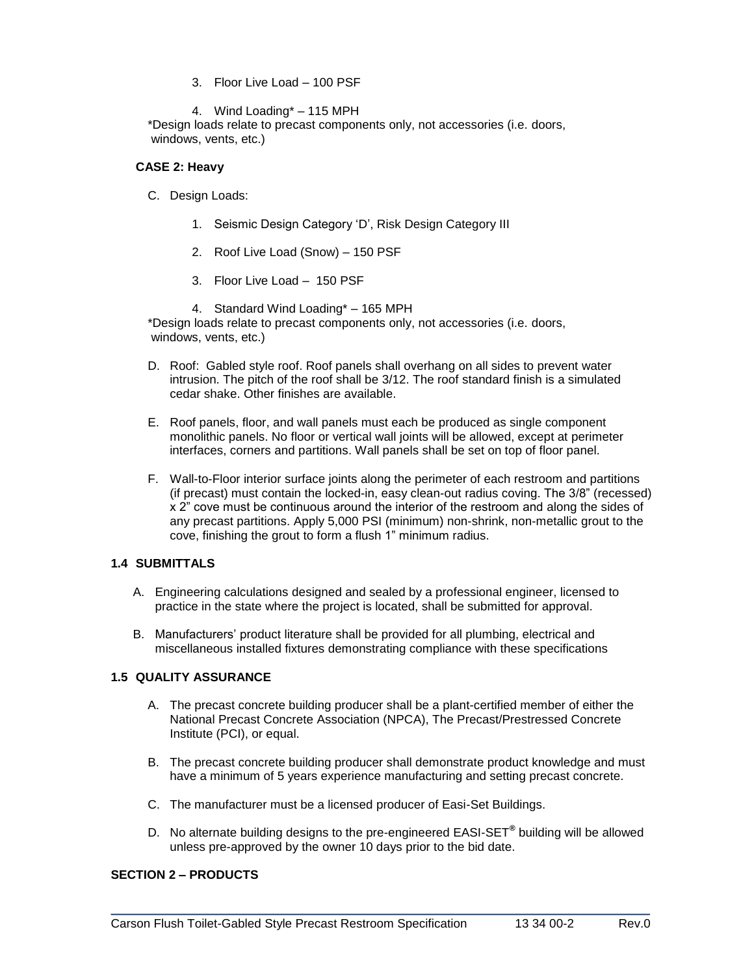- 3. Floor Live Load 100 PSF
- 4. Wind Loading\* 115 MPH

\*Design loads relate to precast components only, not accessories (i.e. doors, windows, vents, etc.)

### **CASE 2: Heavy**

- C. Design Loads:
	- 1. Seismic Design Category 'D', Risk Design Category III
	- 2. Roof Live Load (Snow) 150 PSF
	- 3. Floor Live Load 150 PSF
- 4. Standard Wind Loading\* 165 MPH \*Design loads relate to precast components only, not accessories (i.e. doors, windows, vents, etc.)
- D. Roof: Gabled style roof. Roof panels shall overhang on all sides to prevent water intrusion. The pitch of the roof shall be 3/12. The roof standard finish is a simulated cedar shake. Other finishes are available.
- E. Roof panels, floor, and wall panels must each be produced as single component monolithic panels. No floor or vertical wall joints will be allowed, except at perimeter interfaces, corners and partitions. Wall panels shall be set on top of floor panel.
- F. Wall-to-Floor interior surface joints along the perimeter of each restroom and partitions (if precast) must contain the locked-in, easy clean-out radius coving. The 3/8" (recessed) x 2" cove must be continuous around the interior of the restroom and along the sides of any precast partitions. Apply 5,000 PSI (minimum) non-shrink, non-metallic grout to the cove, finishing the grout to form a flush 1" minimum radius.

# **1.4 SUBMITTALS**

- A. Engineering calculations designed and sealed by a professional engineer, licensed to practice in the state where the project is located, shall be submitted for approval.
- B. Manufacturers' product literature shall be provided for all plumbing, electrical and miscellaneous installed fixtures demonstrating compliance with these specifications

# **1.5 QUALITY ASSURANCE**

- A. The precast concrete building producer shall be a plant-certified member of either the National Precast Concrete Association (NPCA), The Precast/Prestressed Concrete Institute (PCI), or equal.
- B. The precast concrete building producer shall demonstrate product knowledge and must have a minimum of 5 years experience manufacturing and setting precast concrete.
- C. The manufacturer must be a licensed producer of Easi-Set Buildings.
- D. No alternate building designs to the pre-engineered EASI-SET**®** building will be allowed unless pre-approved by the owner 10 days prior to the bid date.

\_\_\_\_\_\_\_\_\_\_\_\_\_\_\_\_\_\_\_\_\_\_\_\_\_\_\_\_\_\_\_\_\_\_\_\_\_\_\_\_\_\_\_\_\_\_\_\_\_\_\_\_\_\_\_\_\_\_\_\_\_\_\_\_\_\_\_\_\_\_\_\_\_

### **SECTION 2 – PRODUCTS**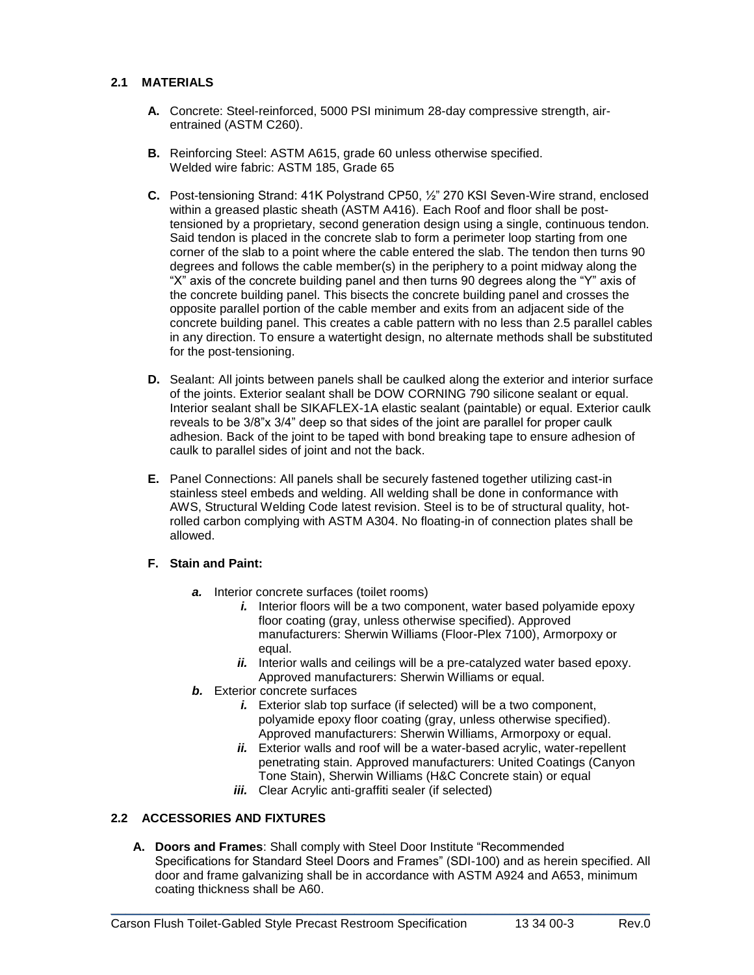# **2.1 MATERIALS**

- **A.** Concrete: Steel-reinforced, 5000 PSI minimum 28-day compressive strength, airentrained (ASTM C260).
- **B.** Reinforcing Steel: ASTM A615, grade 60 unless otherwise specified. Welded wire fabric: ASTM 185, Grade 65
- **C.** Post-tensioning Strand: 41K Polystrand CP50, ½" 270 KSI Seven-Wire strand, enclosed within a greased plastic sheath (ASTM A416). Each Roof and floor shall be posttensioned by a proprietary, second generation design using a single, continuous tendon. Said tendon is placed in the concrete slab to form a perimeter loop starting from one corner of the slab to a point where the cable entered the slab. The tendon then turns 90 degrees and follows the cable member(s) in the periphery to a point midway along the "X" axis of the concrete building panel and then turns 90 degrees along the "Y" axis of the concrete building panel. This bisects the concrete building panel and crosses the opposite parallel portion of the cable member and exits from an adjacent side of the concrete building panel. This creates a cable pattern with no less than 2.5 parallel cables in any direction. To ensure a watertight design, no alternate methods shall be substituted for the post-tensioning.
- **D.** Sealant: All joints between panels shall be caulked along the exterior and interior surface of the joints. Exterior sealant shall be DOW CORNING 790 silicone sealant or equal. Interior sealant shall be SIKAFLEX-1A elastic sealant (paintable) or equal. Exterior caulk reveals to be 3/8"x 3/4" deep so that sides of the joint are parallel for proper caulk adhesion. Back of the joint to be taped with bond breaking tape to ensure adhesion of caulk to parallel sides of joint and not the back.
- **E.** Panel Connections: All panels shall be securely fastened together utilizing cast-in stainless steel embeds and welding. All welding shall be done in conformance with AWS, Structural Welding Code latest revision. Steel is to be of structural quality, hotrolled carbon complying with ASTM A304. No floating-in of connection plates shall be allowed.

### **F. Stain and Paint:**

- *a.* Interior concrete surfaces (toilet rooms)
	- *i.* Interior floors will be a two component, water based polyamide epoxy floor coating (gray, unless otherwise specified). Approved manufacturers: Sherwin Williams (Floor-Plex 7100), Armorpoxy or equal.
	- *ii.* Interior walls and ceilings will be a pre-catalyzed water based epoxy. Approved manufacturers: Sherwin Williams or equal.
- *b.* Exterior concrete surfaces
	- *i.* Exterior slab top surface (if selected) will be a two component, polyamide epoxy floor coating (gray, unless otherwise specified). Approved manufacturers: Sherwin Williams, Armorpoxy or equal.
	- *ii.* Exterior walls and roof will be a water-based acrylic, water-repellent penetrating stain. Approved manufacturers: United Coatings (Canyon Tone Stain), Sherwin Williams (H&C Concrete stain) or equal
	- *iii.* Clear Acrylic anti-graffiti sealer (if selected)

# **2.2 ACCESSORIES AND FIXTURES**

**A. Doors and Frames**: Shall comply with Steel Door Institute "Recommended Specifications for Standard Steel Doors and Frames" (SDI-100) and as herein specified. All door and frame galvanizing shall be in accordance with ASTM A924 and A653, minimum coating thickness shall be A60.

\_\_\_\_\_\_\_\_\_\_\_\_\_\_\_\_\_\_\_\_\_\_\_\_\_\_\_\_\_\_\_\_\_\_\_\_\_\_\_\_\_\_\_\_\_\_\_\_\_\_\_\_\_\_\_\_\_\_\_\_\_\_\_\_\_\_\_\_\_\_\_\_\_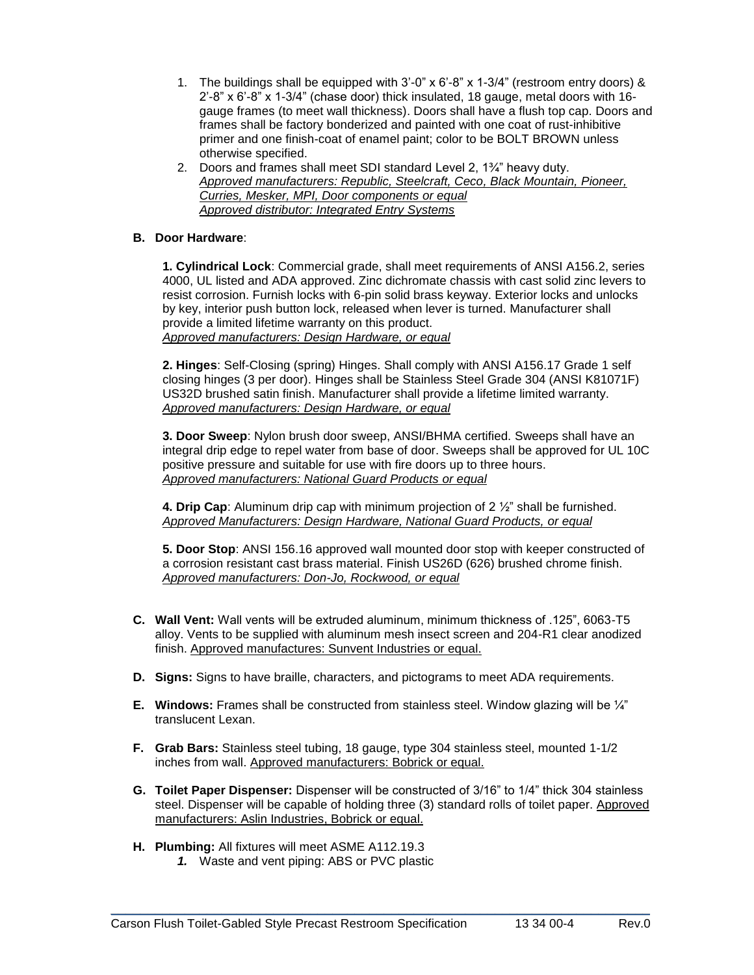- 1. The buildings shall be equipped with  $3'$ -0" x  $6'$ -8" x 1-3/4" (restroom entry doors) & 2'-8" x 6'-8" x 1-3/4" (chase door) thick insulated, 18 gauge, metal doors with 16 gauge frames (to meet wall thickness). Doors shall have a flush top cap. Doors and frames shall be factory bonderized and painted with one coat of rust-inhibitive primer and one finish-coat of enamel paint; color to be BOLT BROWN unless otherwise specified.
- 2. Doors and frames shall meet SDI standard Level 2, 1¾" heavy duty. *Approved manufacturers: Republic, Steelcraft, Ceco, Black Mountain, Pioneer, Curries, Mesker, MPI, Door components or equal Approved distributor: Integrated Entry Systems*

# **B. Door Hardware**:

**1. Cylindrical Lock**: Commercial grade, shall meet requirements of ANSI A156.2, series 4000, UL listed and ADA approved. Zinc dichromate chassis with cast solid zinc levers to resist corrosion. Furnish locks with 6-pin solid brass keyway. Exterior locks and unlocks by key, interior push button lock, released when lever is turned. Manufacturer shall provide a limited lifetime warranty on this product. *Approved manufacturers: Design Hardware, or equal*

**2. Hinges**: Self-Closing (spring) Hinges. Shall comply with ANSI A156.17 Grade 1 self closing hinges (3 per door). Hinges shall be Stainless Steel Grade 304 (ANSI K81071F) US32D brushed satin finish. Manufacturer shall provide a lifetime limited warranty. *Approved manufacturers: Design Hardware, or equal*

**3. Door Sweep**: Nylon brush door sweep, ANSI/BHMA certified. Sweeps shall have an integral drip edge to repel water from base of door. Sweeps shall be approved for UL 10C positive pressure and suitable for use with fire doors up to three hours. *Approved manufacturers: National Guard Products or equal*

**4. Drip Cap**: Aluminum drip cap with minimum projection of 2 ½" shall be furnished. *Approved Manufacturers: Design Hardware, National Guard Products, or equal*

**5. Door Stop**: ANSI 156.16 approved wall mounted door stop with keeper constructed of a corrosion resistant cast brass material. Finish US26D (626) brushed chrome finish. *Approved manufacturers: Don-Jo, Rockwood, or equal*

- **C. Wall Vent:** Wall vents will be extruded aluminum, minimum thickness of .125", 6063-T5 alloy. Vents to be supplied with aluminum mesh insect screen and 204-R1 clear anodized finish. Approved manufactures: Sunvent Industries or equal.
- **D. Signs:** Signs to have braille, characters, and pictograms to meet ADA requirements.
- **E. Windows:** Frames shall be constructed from stainless steel. Window glazing will be ¼" translucent Lexan.
- **F. Grab Bars:** Stainless steel tubing, 18 gauge, type 304 stainless steel, mounted 1-1/2 inches from wall. Approved manufacturers: Bobrick or equal.
- **G. Toilet Paper Dispenser:** Dispenser will be constructed of 3/16" to 1/4" thick 304 stainless steel. Dispenser will be capable of holding three (3) standard rolls of toilet paper. Approved manufacturers: Aslin Industries, Bobrick or equal.

\_\_\_\_\_\_\_\_\_\_\_\_\_\_\_\_\_\_\_\_\_\_\_\_\_\_\_\_\_\_\_\_\_\_\_\_\_\_\_\_\_\_\_\_\_\_\_\_\_\_\_\_\_\_\_\_\_\_\_\_\_\_\_\_\_\_\_\_\_\_\_\_\_

- **H. Plumbing:** All fixtures will meet ASME A112.19.3
	- *1.* Waste and vent piping: ABS or PVC plastic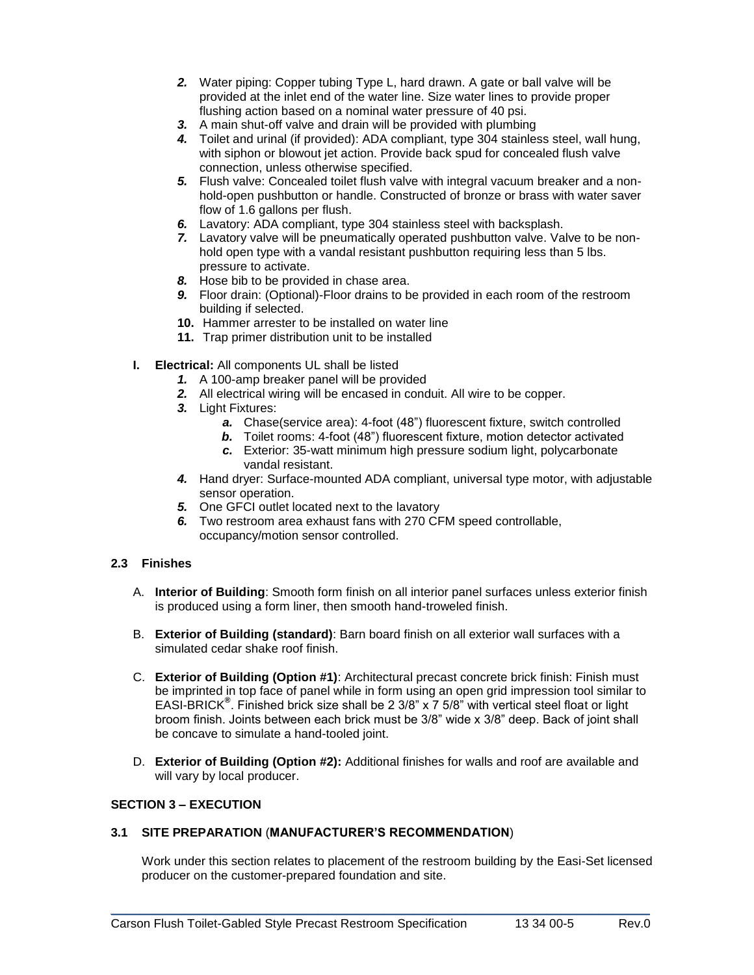- *2.* Water piping: Copper tubing Type L, hard drawn. A gate or ball valve will be provided at the inlet end of the water line. Size water lines to provide proper flushing action based on a nominal water pressure of 40 psi.
- *3.* A main shut-off valve and drain will be provided with plumbing
- *4.* Toilet and urinal (if provided): ADA compliant, type 304 stainless steel, wall hung, with siphon or blowout jet action. Provide back spud for concealed flush valve connection, unless otherwise specified.
- *5.* Flush valve: Concealed toilet flush valve with integral vacuum breaker and a nonhold-open pushbutton or handle. Constructed of bronze or brass with water saver flow of 1.6 gallons per flush.
- *6.* Lavatory: ADA compliant, type 304 stainless steel with backsplash.
- *7.* Lavatory valve will be pneumatically operated pushbutton valve. Valve to be nonhold open type with a vandal resistant pushbutton requiring less than 5 lbs. pressure to activate.
- *8.* Hose bib to be provided in chase area.
- *9.* Floor drain: (Optional)-Floor drains to be provided in each room of the restroom building if selected.
- **10.** Hammer arrester to be installed on water line
- **11.** Trap primer distribution unit to be installed
- **I. Electrical:** All components UL shall be listed
	- *1.* A 100-amp breaker panel will be provided
	- *2.* All electrical wiring will be encased in conduit. All wire to be copper.
	- *3.* Light Fixtures:
		- *a.* Chase(service area): 4-foot (48") fluorescent fixture, switch controlled
		- *b.* Toilet rooms: 4-foot (48") fluorescent fixture, motion detector activated
		- *c.* Exterior: 35-watt minimum high pressure sodium light, polycarbonate vandal resistant.
	- *4.* Hand dryer: Surface-mounted ADA compliant, universal type motor, with adjustable sensor operation.
	- *5.* One GFCI outlet located next to the lavatory
	- *6.* Two restroom area exhaust fans with 270 CFM speed controllable, occupancy/motion sensor controlled.

# **2.3 Finishes**

- A. **Interior of Building**: Smooth form finish on all interior panel surfaces unless exterior finish is produced using a form liner, then smooth hand-troweled finish.
- B. **Exterior of Building (standard)**: Barn board finish on all exterior wall surfaces with a simulated cedar shake roof finish.
- C. **Exterior of Building (Option #1)**: Architectural precast concrete brick finish: Finish must be imprinted in top face of panel while in form using an open grid impression tool similar to EASI-BRICK**®** . Finished brick size shall be 2 3/8" x 7 5/8" with vertical steel float or light broom finish. Joints between each brick must be 3/8" wide x 3/8" deep. Back of joint shall be concave to simulate a hand-tooled joint.
- D. **Exterior of Building (Option #2):** Additional finishes for walls and roof are available and will vary by local producer.

#### **SECTION 3 – EXECUTION**

#### **3.1 SITE PREPARATION** (**MANUFACTURER'S RECOMMENDATION**)

Work under this section relates to placement of the restroom building by the Easi-Set licensed producer on the customer-prepared foundation and site.

\_\_\_\_\_\_\_\_\_\_\_\_\_\_\_\_\_\_\_\_\_\_\_\_\_\_\_\_\_\_\_\_\_\_\_\_\_\_\_\_\_\_\_\_\_\_\_\_\_\_\_\_\_\_\_\_\_\_\_\_\_\_\_\_\_\_\_\_\_\_\_\_\_